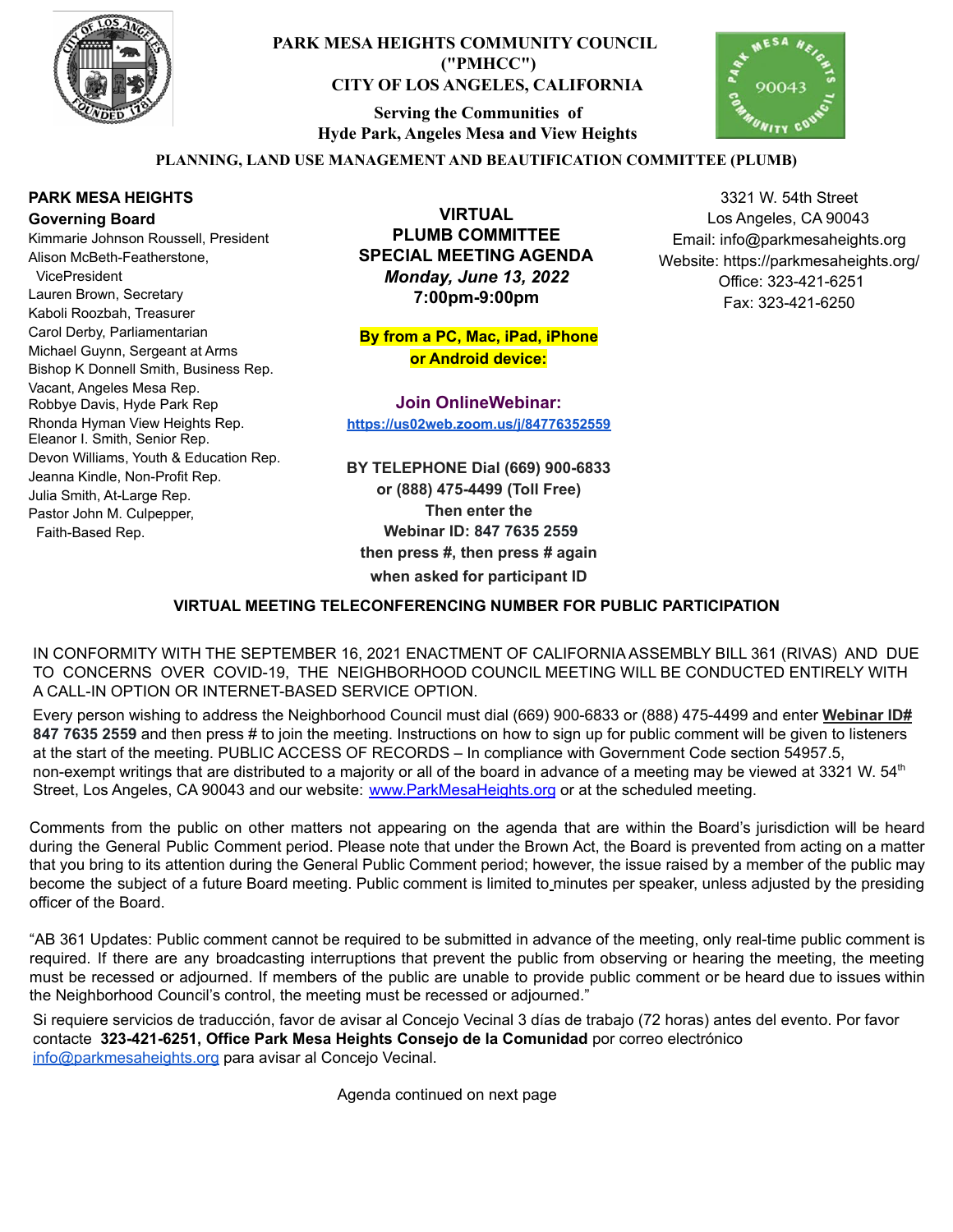

## **PARK MESA HEIGHTS COMMUNITY COUNCIL ("PMHCC") CITY OF LOS ANGELES, CALIFORNIA**

**Serving the Communities of Hyde Park, Angeles Mesa and View Heights**



### **PLANNING, LAND USE MANAGEMENT AND BEAUTIFICATION COMMITTEE (PLUMB)**

#### **PARK MESA HEIGHTS Governing Board**

Kimmarie Johnson Roussell, President Alison McBeth-Featherstone, VicePresident Lauren Brown, Secretary Kaboli Roozbah, Treasurer Carol Derby, Parliamentarian Michael Guynn, Sergeant at Arms Bishop K Donnell Smith, Business Rep. Vacant, Angeles Mesa Rep. Robbye Davis, Hyde Park Rep Rhonda Hyman View Heights Rep. Eleanor I. Smith, Senior Rep. Devon Williams, Youth & Education Rep. Jeanna Kindle, Non-Profit Rep. Julia Smith, At-Large Rep. Pastor John M. Culpepper, Faith-Based Rep.

**VIRTUAL PLUMB COMMITTEE SPECIAL MEETING AGENDA** *Monday, June 13, 2022* **7:00pm-9:00pm**

**By from a PC, Mac, iPad, iPhone or Android device:**

**Join OnlineWebinar: <https://us02web.zoom.us/j/84776352559>**

**BY TELEPHONE Dial (669) 900-6833 or (888) 475-4499 (Toll Free) Then enter the Webinar ID: 847 7635 2559 then press #, then press # again when asked for participant ID**

#### **VIRTUAL MEETING TELECONFERENCING NUMBER FOR PUBLIC PARTICIPATION**

IN CONFORMITY WITH THE SEPTEMBER 16, 2021 ENACTMENT OF CALIFORNIA ASSEMBLY BILL 361 (RIVAS) AND DUE TO CONCERNS OVER COVID-19, THE NEIGHBORHOOD COUNCIL MEETING WILL BE CONDUCTED ENTIRELY WITH A CALL-IN OPTION OR INTERNET-BASED SERVICE OPTION.

Every person wishing to address the Neighborhood Council must dial (669) 900-6833 or (888) 475-4499 and enter **Webinar ID# 847 7635 2559** and then press # to join the meeting. Instructions on how to sign up for public comment will be given to listeners at the start of the meeting. PUBLIC ACCESS OF RECORDS – In compliance with Government Code section 54957.5, non-exempt writings that are distributed to a majority or all of the board in advance of a meeting may be viewed at 3321 W. 54<sup>th</sup> Street, Los Angeles, CA 90043 and our website: [www.ParkMesaHeights.org](http://www.parkmesaheights.org/) or at the scheduled meeting.

Comments from the public on other matters not appearing on the agenda that are within the Board's jurisdiction will be heard during the General Public Comment period. Please note that under the Brown Act, the Board is prevented from acting on a matter that you bring to its attention during the General Public Comment period; however, the issue raised by a member of the public may become the subject of a future Board meeting. Public comment is limited to minutes per speaker, unless adjusted by the presiding officer of the Board.

"AB 361 Updates: Public comment cannot be required to be submitted in advance of the meeting, only real-time public comment is required. If there are any broadcasting interruptions that prevent the public from observing or hearing the meeting, the meeting must be recessed or adjourned. If members of the public are unable to provide public comment or be heard due to issues within the Neighborhood Council's control, the meeting must be recessed or adjourned."

Si requiere servicios de traducción, favor de avisar al Concejo Vecinal 3 días de trabajo (72 horas) antes del evento. Por favor contacte **323-421-6251, Office Park Mesa Heights Consejo de la Comunidad** por corre[o](mailto:XXX@NeighborhoodCouncil.org) electrónico [info@parkmesaheights.org](mailto:info@parkmesaheights.org) para avisar al Concejo Vecinal.

Agenda continued on next page